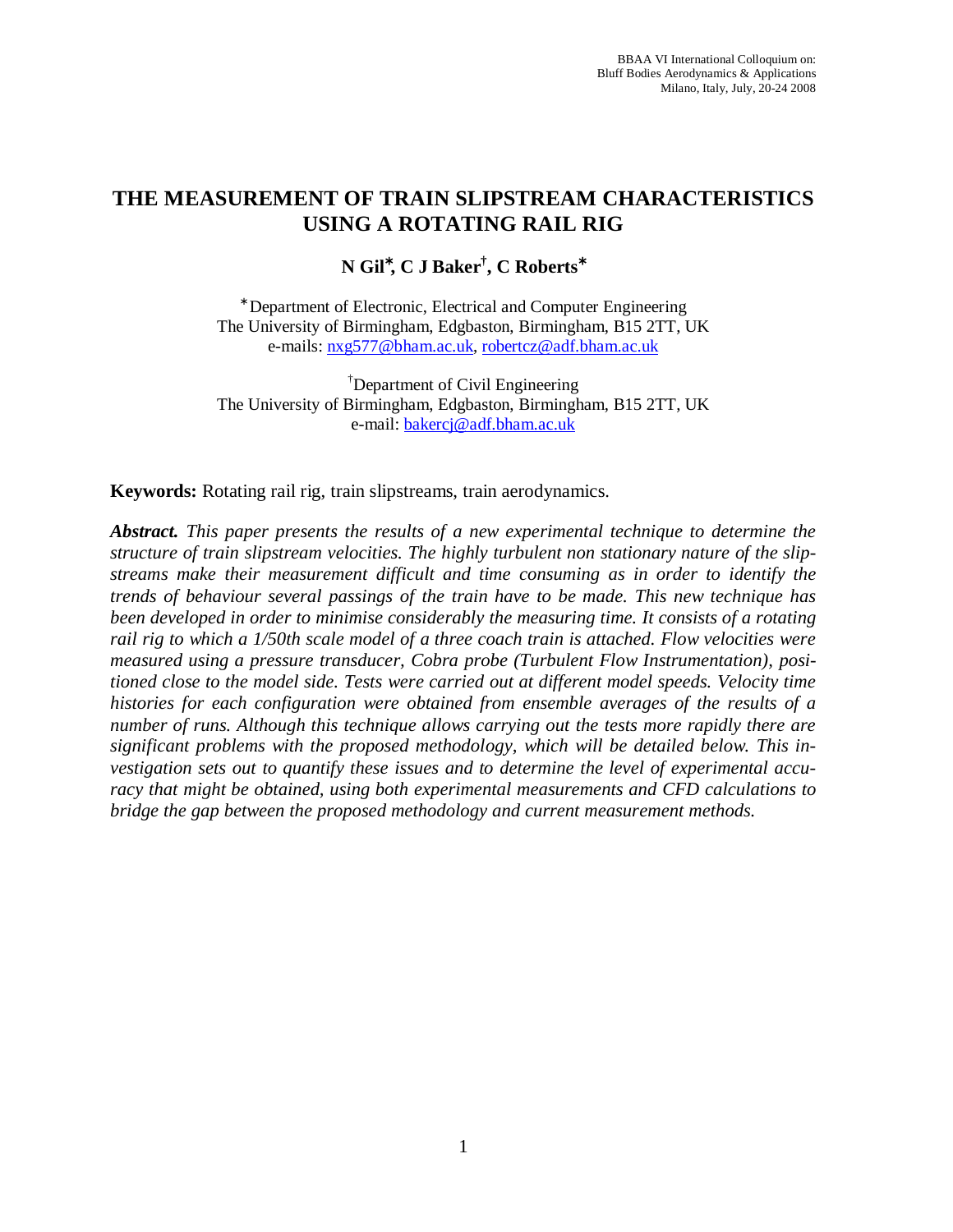# **THE MEASUREMENT OF TRAIN SLIPSTREAM CHARACTERISTICS USING A ROTATING RAIL RIG**

## **N Gil**<sup>∗</sup> **, C J Baker† , C Roberts**<sup>∗</sup>

∗ Department of Electronic, Electrical and Computer Engineering The University of Birmingham, Edgbaston, Birmingham, B15 2TT, UK e-mails: nxg577@bham.ac.uk, robertcz@adf.bham.ac.uk

† Department of Civil Engineering The University of Birmingham, Edgbaston, Birmingham, B15 2TT, UK e-mail: bakercj@adf.bham.ac.uk

**Keywords:** Rotating rail rig, train slipstreams, train aerodynamics.

*Abstract. This paper presents the results of a new experimental technique to determine the structure of train slipstream velocities. The highly turbulent non stationary nature of the slipstreams make their measurement difficult and time consuming as in order to identify the trends of behaviour several passings of the train have to be made. This new technique has been developed in order to minimise considerably the measuring time. It consists of a rotating rail rig to which a 1/50th scale model of a three coach train is attached. Flow velocities were measured using a pressure transducer, Cobra probe (Turbulent Flow Instrumentation), positioned close to the model side. Tests were carried out at different model speeds. Velocity time histories for each configuration were obtained from ensemble averages of the results of a number of runs. Although this technique allows carrying out the tests more rapidly there are significant problems with the proposed methodology, which will be detailed below. This investigation sets out to quantify these issues and to determine the level of experimental accuracy that might be obtained, using both experimental measurements and CFD calculations to bridge the gap between the proposed methodology and current measurement methods.*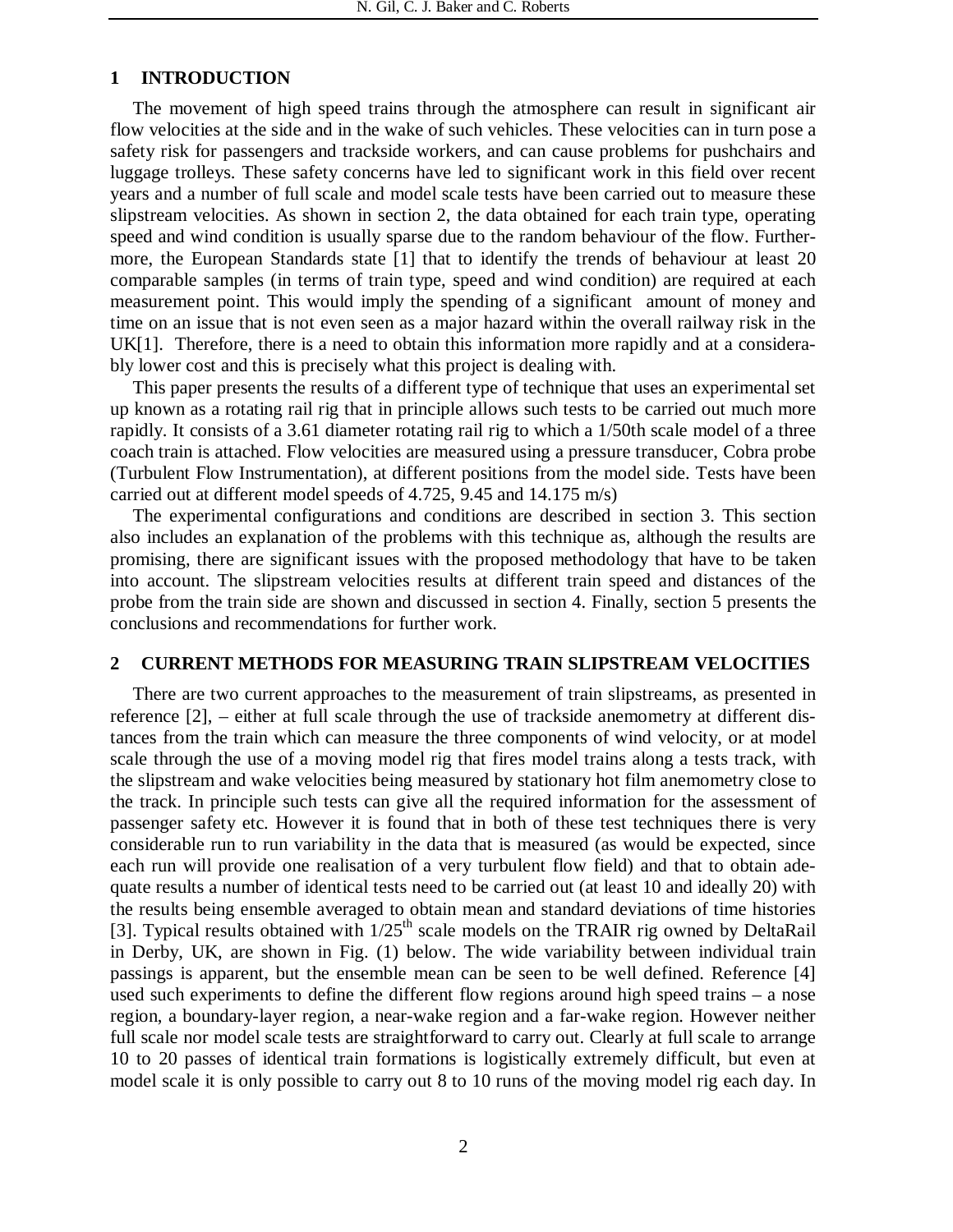### **1 INTRODUCTION**

The movement of high speed trains through the atmosphere can result in significant air flow velocities at the side and in the wake of such vehicles. These velocities can in turn pose a safety risk for passengers and trackside workers, and can cause problems for pushchairs and luggage trolleys. These safety concerns have led to significant work in this field over recent years and a number of full scale and model scale tests have been carried out to measure these slipstream velocities. As shown in section 2, the data obtained for each train type, operating speed and wind condition is usually sparse due to the random behaviour of the flow. Furthermore, the European Standards state [1] that to identify the trends of behaviour at least 20 comparable samples (in terms of train type, speed and wind condition) are required at each measurement point. This would imply the spending of a significant amount of money and time on an issue that is not even seen as a major hazard within the overall railway risk in the UK[1]. Therefore, there is a need to obtain this information more rapidly and at a considerably lower cost and this is precisely what this project is dealing with.

This paper presents the results of a different type of technique that uses an experimental set up known as a rotating rail rig that in principle allows such tests to be carried out much more rapidly. It consists of a 3.61 diameter rotating rail rig to which a 1/50th scale model of a three coach train is attached. Flow velocities are measured using a pressure transducer, Cobra probe (Turbulent Flow Instrumentation), at different positions from the model side. Tests have been carried out at different model speeds of 4.725, 9.45 and 14.175 m/s)

The experimental configurations and conditions are described in section 3. This section also includes an explanation of the problems with this technique as, although the results are promising, there are significant issues with the proposed methodology that have to be taken into account. The slipstream velocities results at different train speed and distances of the probe from the train side are shown and discussed in section 4. Finally, section 5 presents the conclusions and recommendations for further work.

### **2 CURRENT METHODS FOR MEASURING TRAIN SLIPSTREAM VELOCITIES**

There are two current approaches to the measurement of train slipstreams, as presented in reference [2], – either at full scale through the use of trackside anemometry at different distances from the train which can measure the three components of wind velocity, or at model scale through the use of a moving model rig that fires model trains along a tests track, with the slipstream and wake velocities being measured by stationary hot film anemometry close to the track. In principle such tests can give all the required information for the assessment of passenger safety etc. However it is found that in both of these test techniques there is very considerable run to run variability in the data that is measured (as would be expected, since each run will provide one realisation of a very turbulent flow field) and that to obtain adequate results a number of identical tests need to be carried out (at least 10 and ideally 20) with the results being ensemble averaged to obtain mean and standard deviations of time histories [3]. Typical results obtained with  $1/25<sup>th</sup>$  scale models on the TRAIR rig owned by DeltaRail in Derby, UK, are shown in Fig. (1) below. The wide variability between individual train passings is apparent, but the ensemble mean can be seen to be well defined. Reference [4] used such experiments to define the different flow regions around high speed trains – a nose region, a boundary-layer region, a near-wake region and a far-wake region. However neither full scale nor model scale tests are straightforward to carry out. Clearly at full scale to arrange 10 to 20 passes of identical train formations is logistically extremely difficult, but even at model scale it is only possible to carry out 8 to 10 runs of the moving model rig each day. In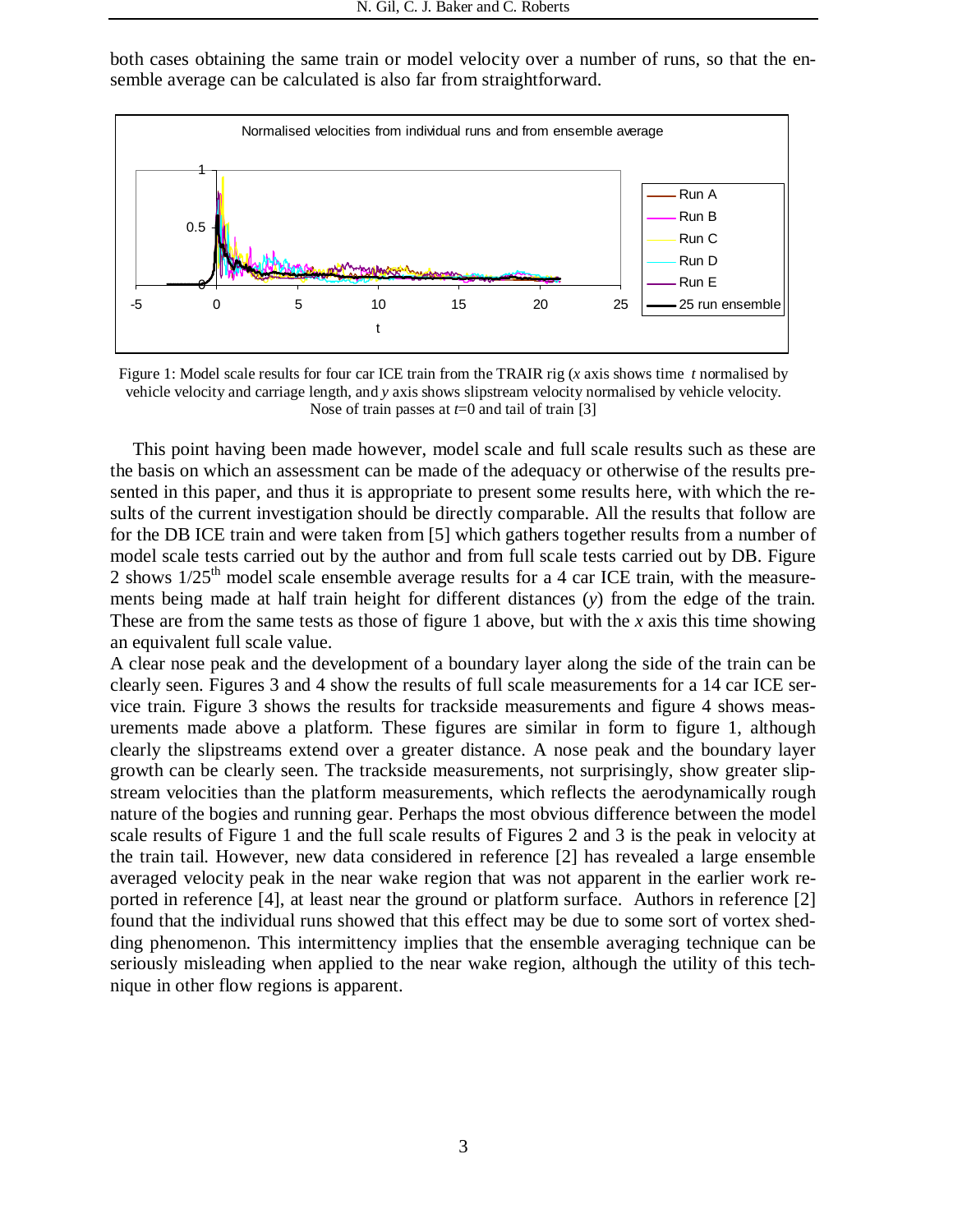both cases obtaining the same train or model velocity over a number of runs, so that the ensemble average can be calculated is also far from straightforward.



Figure 1: Model scale results for four car ICE train from the TRAIR rig (*x* axis shows time *t* normalised by vehicle velocity and carriage length, and *y* axis shows slipstream velocity normalised by vehicle velocity. Nose of train passes at *t*=0 and tail of train [3]

This point having been made however, model scale and full scale results such as these are the basis on which an assessment can be made of the adequacy or otherwise of the results presented in this paper, and thus it is appropriate to present some results here, with which the results of the current investigation should be directly comparable. All the results that follow are for the DB ICE train and were taken from [5] which gathers together results from a number of model scale tests carried out by the author and from full scale tests carried out by DB. Figure 2 shows  $1/25<sup>th</sup>$  model scale ensemble average results for a 4 car ICE train, with the measurements being made at half train height for different distances (*y*) from the edge of the train. These are from the same tests as those of figure 1 above, but with the *x* axis this time showing an equivalent full scale value.

A clear nose peak and the development of a boundary layer along the side of the train can be clearly seen. Figures 3 and 4 show the results of full scale measurements for a 14 car ICE service train. Figure 3 shows the results for trackside measurements and figure 4 shows measurements made above a platform. These figures are similar in form to figure 1, although clearly the slipstreams extend over a greater distance. A nose peak and the boundary layer growth can be clearly seen. The trackside measurements, not surprisingly, show greater slipstream velocities than the platform measurements, which reflects the aerodynamically rough nature of the bogies and running gear. Perhaps the most obvious difference between the model scale results of Figure 1 and the full scale results of Figures 2 and 3 is the peak in velocity at the train tail. However, new data considered in reference [2] has revealed a large ensemble averaged velocity peak in the near wake region that was not apparent in the earlier work reported in reference [4], at least near the ground or platform surface. Authors in reference [2] found that the individual runs showed that this effect may be due to some sort of vortex shedding phenomenon. This intermittency implies that the ensemble averaging technique can be seriously misleading when applied to the near wake region, although the utility of this technique in other flow regions is apparent.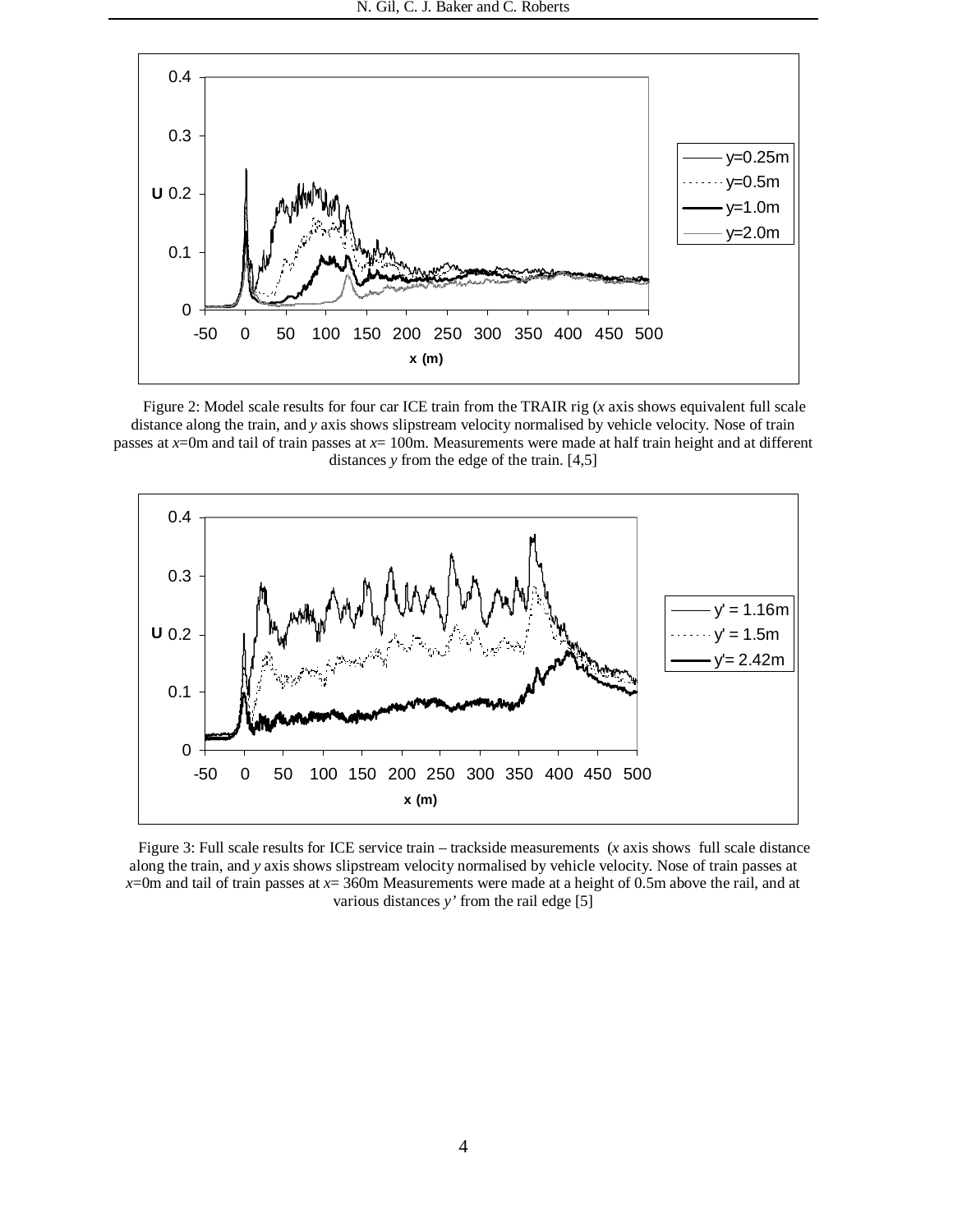

Figure 2: Model scale results for four car ICE train from the TRAIR rig (*x* axis shows equivalent full scale distance along the train, and *y* axis shows slipstream velocity normalised by vehicle velocity. Nose of train passes at *x*=0m and tail of train passes at *x*= 100m. Measurements were made at half train height and at different distances *y* from the edge of the train. [4,5]



Figure 3: Full scale results for ICE service train – trackside measurements (*x* axis shows full scale distance along the train, and *y* axis shows slipstream velocity normalised by vehicle velocity. Nose of train passes at *x*=0m and tail of train passes at *x*= 360m Measurements were made at a height of 0.5m above the rail, and at various distances *y'* from the rail edge [5]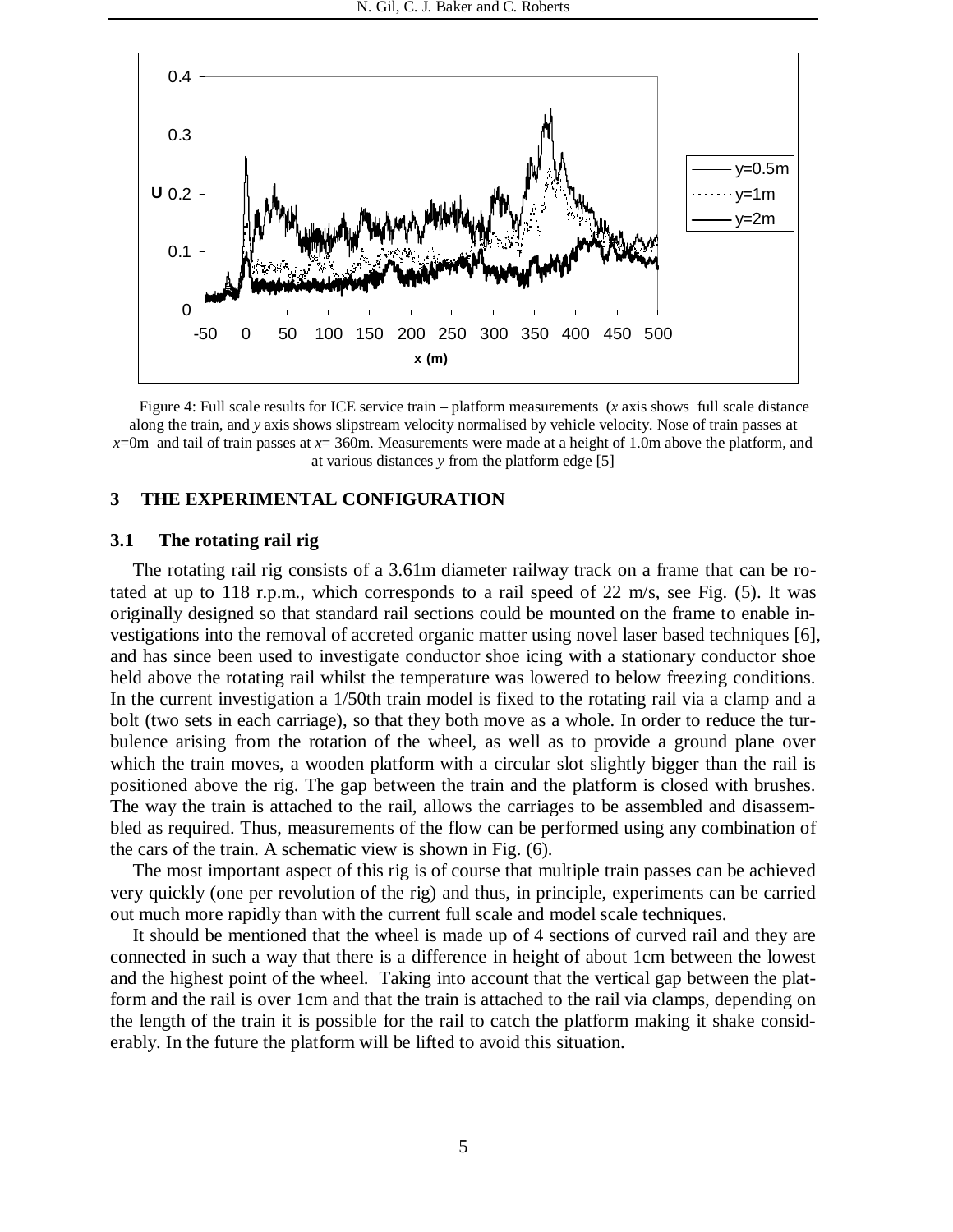

Figure 4: Full scale results for ICE service train – platform measurements (*x* axis shows full scale distance along the train, and *y* axis shows slipstream velocity normalised by vehicle velocity. Nose of train passes at *x*=0m and tail of train passes at *x*= 360m. Measurements were made at a height of 1.0m above the platform, and at various distances *y* from the platform edge [5]

### **3 THE EXPERIMENTAL CONFIGURATION**

### **3.1 The rotating rail rig**

The rotating rail rig consists of a 3.61m diameter railway track on a frame that can be rotated at up to 118 r.p.m., which corresponds to a rail speed of 22 m/s, see Fig. (5). It was originally designed so that standard rail sections could be mounted on the frame to enable investigations into the removal of accreted organic matter using novel laser based techniques [6], and has since been used to investigate conductor shoe icing with a stationary conductor shoe held above the rotating rail whilst the temperature was lowered to below freezing conditions. In the current investigation a 1/50th train model is fixed to the rotating rail via a clamp and a bolt (two sets in each carriage), so that they both move as a whole. In order to reduce the turbulence arising from the rotation of the wheel, as well as to provide a ground plane over which the train moves, a wooden platform with a circular slot slightly bigger than the rail is positioned above the rig. The gap between the train and the platform is closed with brushes. The way the train is attached to the rail, allows the carriages to be assembled and disassembled as required. Thus, measurements of the flow can be performed using any combination of the cars of the train. A schematic view is shown in Fig. (6).

The most important aspect of this rig is of course that multiple train passes can be achieved very quickly (one per revolution of the rig) and thus, in principle, experiments can be carried out much more rapidly than with the current full scale and model scale techniques.

It should be mentioned that the wheel is made up of 4 sections of curved rail and they are connected in such a way that there is a difference in height of about 1cm between the lowest and the highest point of the wheel. Taking into account that the vertical gap between the platform and the rail is over 1cm and that the train is attached to the rail via clamps, depending on the length of the train it is possible for the rail to catch the platform making it shake considerably. In the future the platform will be lifted to avoid this situation.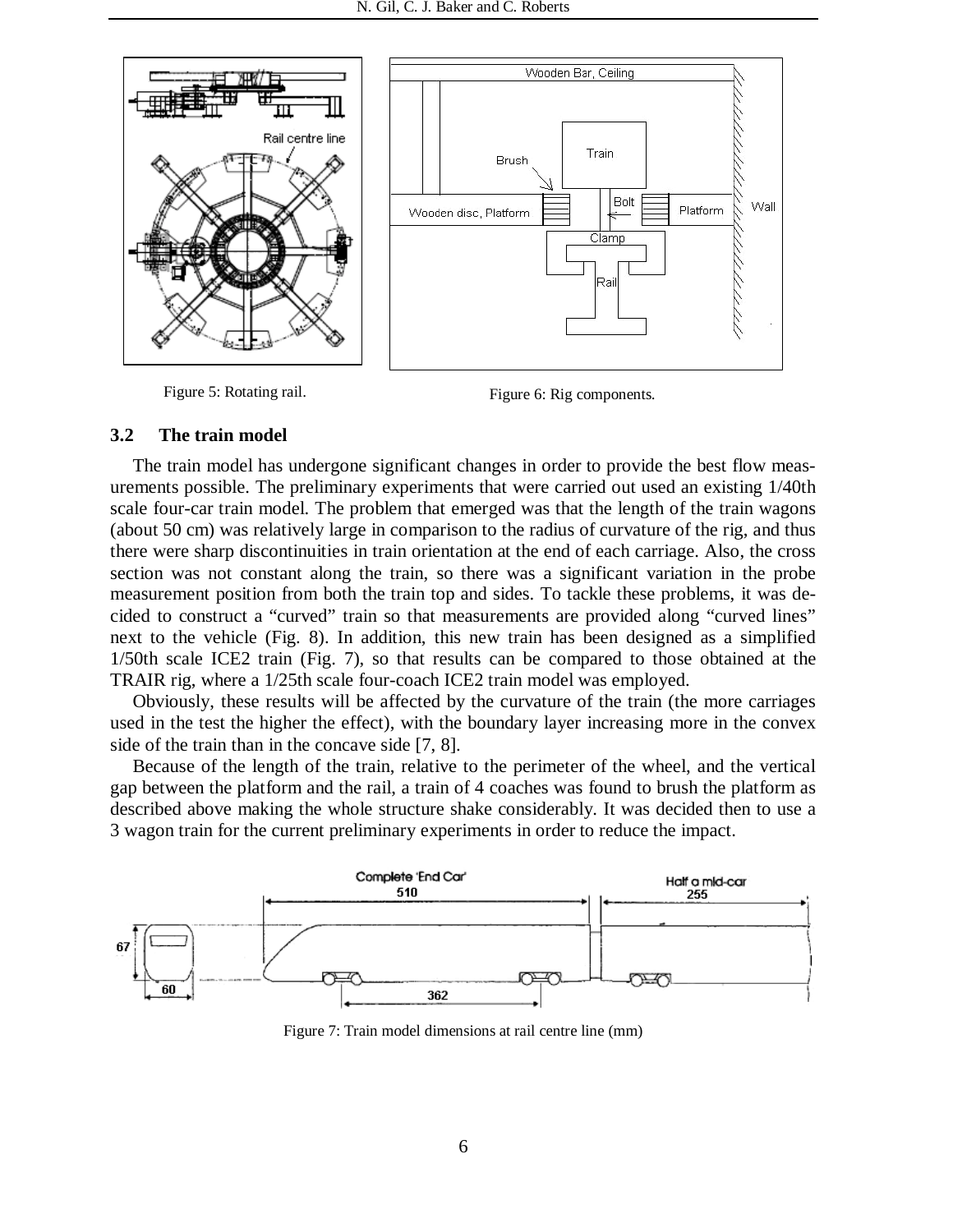

Figure 5: Rotating rail. Figure 6: Rig components.

#### **3.2 The train model**

The train model has undergone significant changes in order to provide the best flow measurements possible. The preliminary experiments that were carried out used an existing 1/40th scale four-car train model. The problem that emerged was that the length of the train wagons (about 50 cm) was relatively large in comparison to the radius of curvature of the rig, and thus there were sharp discontinuities in train orientation at the end of each carriage. Also, the cross section was not constant along the train, so there was a significant variation in the probe measurement position from both the train top and sides. To tackle these problems, it was decided to construct a "curved" train so that measurements are provided along "curved lines" next to the vehicle (Fig. 8). In addition, this new train has been designed as a simplified 1/50th scale ICE2 train (Fig. 7), so that results can be compared to those obtained at the TRAIR rig, where a 1/25th scale four-coach ICE2 train model was employed.

Obviously, these results will be affected by the curvature of the train (the more carriages used in the test the higher the effect), with the boundary layer increasing more in the convex side of the train than in the concave side [7, 8].

Because of the length of the train, relative to the perimeter of the wheel, and the vertical gap between the platform and the rail, a train of 4 coaches was found to brush the platform as described above making the whole structure shake considerably. It was decided then to use a 3 wagon train for the current preliminary experiments in order to reduce the impact.



Figure 7: Train model dimensions at rail centre line (mm)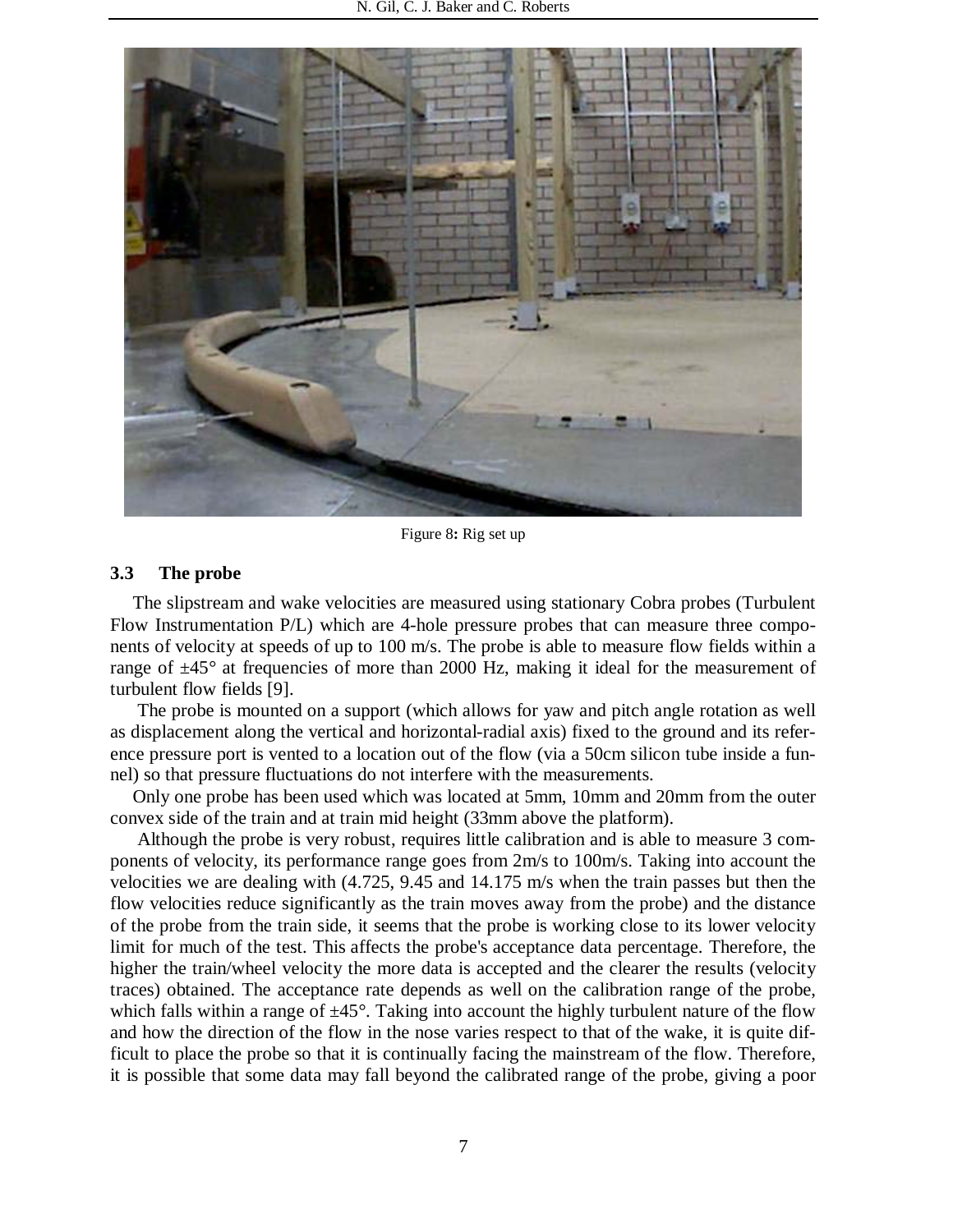

Figure 8**:** Rig set up

#### **3.3 The probe**

The slipstream and wake velocities are measured using stationary Cobra probes (Turbulent Flow Instrumentation P/L) which are 4-hole pressure probes that can measure three components of velocity at speeds of up to 100 m/s. The probe is able to measure flow fields within a range of  $\pm 45^{\circ}$  at frequencies of more than 2000 Hz, making it ideal for the measurement of turbulent flow fields [9].

 The probe is mounted on a support (which allows for yaw and pitch angle rotation as well as displacement along the vertical and horizontal-radial axis) fixed to the ground and its reference pressure port is vented to a location out of the flow (via a 50cm silicon tube inside a funnel) so that pressure fluctuations do not interfere with the measurements.

Only one probe has been used which was located at 5mm, 10mm and 20mm from the outer convex side of the train and at train mid height (33mm above the platform).

 Although the probe is very robust, requires little calibration and is able to measure 3 components of velocity, its performance range goes from 2m/s to 100m/s. Taking into account the velocities we are dealing with (4.725, 9.45 and 14.175 m/s when the train passes but then the flow velocities reduce significantly as the train moves away from the probe) and the distance of the probe from the train side, it seems that the probe is working close to its lower velocity limit for much of the test. This affects the probe's acceptance data percentage. Therefore, the higher the train/wheel velocity the more data is accepted and the clearer the results (velocity traces) obtained. The acceptance rate depends as well on the calibration range of the probe, which falls within a range of  $\pm 45^{\circ}$ . Taking into account the highly turbulent nature of the flow and how the direction of the flow in the nose varies respect to that of the wake, it is quite difficult to place the probe so that it is continually facing the mainstream of the flow. Therefore, it is possible that some data may fall beyond the calibrated range of the probe, giving a poor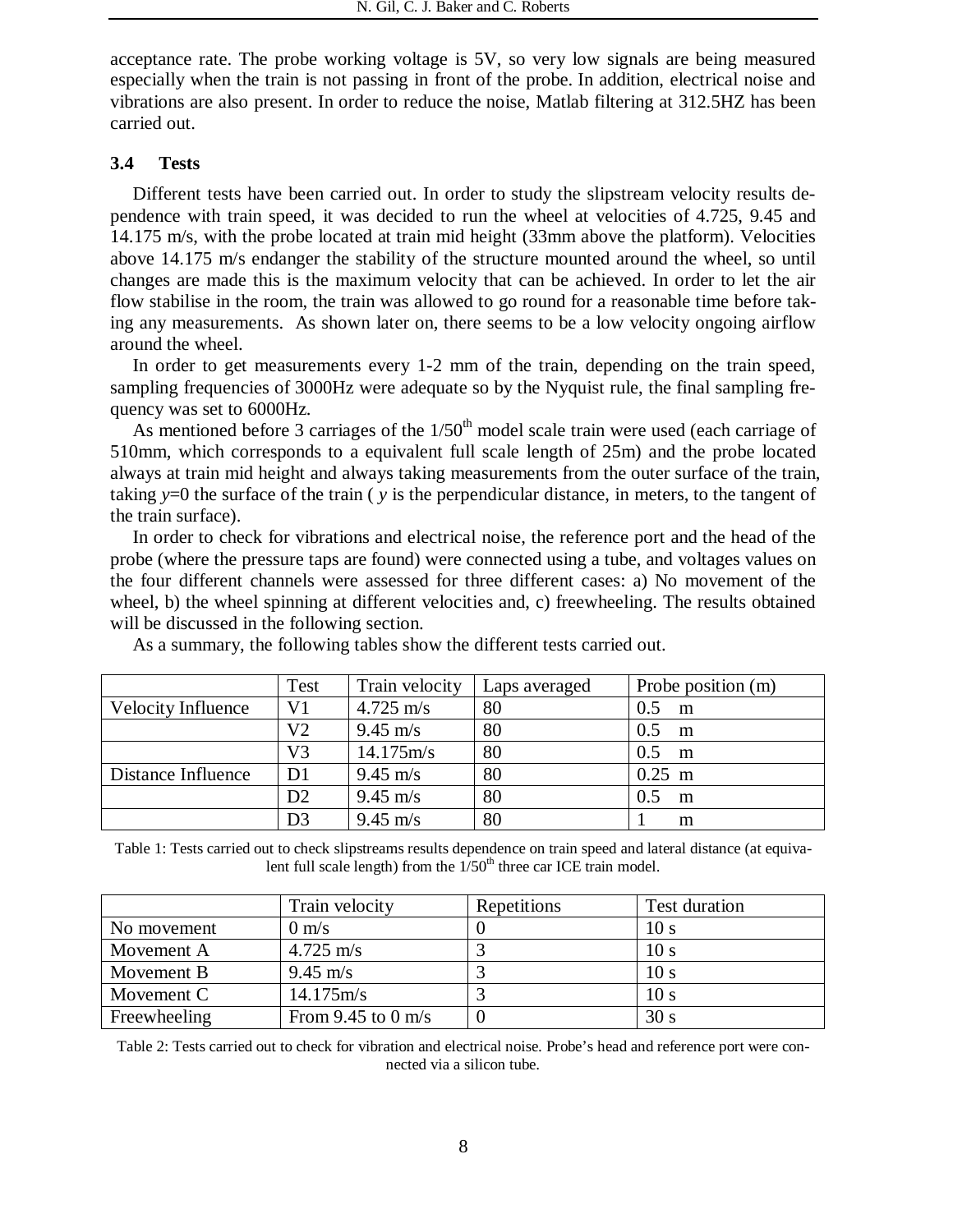acceptance rate. The probe working voltage is 5V, so very low signals are being measured especially when the train is not passing in front of the probe. In addition, electrical noise and vibrations are also present. In order to reduce the noise, Matlab filtering at 312.5HZ has been carried out.

### **3.4 Tests**

Different tests have been carried out. In order to study the slipstream velocity results dependence with train speed, it was decided to run the wheel at velocities of 4.725, 9.45 and 14.175 m/s, with the probe located at train mid height (33mm above the platform). Velocities above 14.175 m/s endanger the stability of the structure mounted around the wheel, so until changes are made this is the maximum velocity that can be achieved. In order to let the air flow stabilise in the room, the train was allowed to go round for a reasonable time before taking any measurements. As shown later on, there seems to be a low velocity ongoing airflow around the wheel.

In order to get measurements every 1-2 mm of the train, depending on the train speed, sampling frequencies of 3000Hz were adequate so by the Nyquist rule, the final sampling frequency was set to 6000Hz.

As mentioned before 3 carriages of the  $1/50<sup>th</sup>$  model scale train were used (each carriage of 510mm, which corresponds to a equivalent full scale length of 25m) and the probe located always at train mid height and always taking measurements from the outer surface of the train, taking *y*=0 the surface of the train ( *y* is the perpendicular distance, in meters, to the tangent of the train surface).

In order to check for vibrations and electrical noise, the reference port and the head of the probe (where the pressure taps are found) were connected using a tube, and voltages values on the four different channels were assessed for three different cases: a) No movement of the wheel, b) the wheel spinning at different velocities and, c) freewheeling. The results obtained will be discussed in the following section.

|                           | Test           | Train velocity      | Laps averaged | Probe position (m) |
|---------------------------|----------------|---------------------|---------------|--------------------|
| <b>Velocity Influence</b> | V1             | $4.725 \text{ m/s}$ | 80            | 0.5<br>m           |
|                           | V2             | $9.45 \text{ m/s}$  | 80            | 0.5<br>m           |
|                           | V3             | $14.175 \text{m/s}$ | 80            | 0.5<br>m           |
| Distance Influence        | D <sub>1</sub> | $9.45 \text{ m/s}$  | 80            | $0.25$ m           |
|                           | D2             | $9.45 \text{ m/s}$  | 80            | 0.5<br>m           |
|                           | D3             | $9.45 \text{ m/s}$  | 80            | m                  |

As a summary, the following tables show the different tests carried out.

Table 1: Tests carried out to check slipstreams results dependence on train speed and lateral distance (at equivalent full scale length) from the  $1/50<sup>th</sup>$  three car ICE train model.

|              | Train velocity      | Repetitions | Test duration   |
|--------------|---------------------|-------------|-----------------|
| No movement  | $0 \text{ m/s}$     |             | 10 s            |
| Movement A   | $4.725 \text{ m/s}$ |             | 10 <sub>s</sub> |
| Movement B   | $9.45 \text{ m/s}$  |             | 10 s            |
| Movement C   | $14.175 \text{m/s}$ |             | 10 s            |
| Freewheeling | From 9.45 to 0 m/s  |             | 30 s            |

Table 2: Tests carried out to check for vibration and electrical noise. Probe's head and reference port were connected via a silicon tube.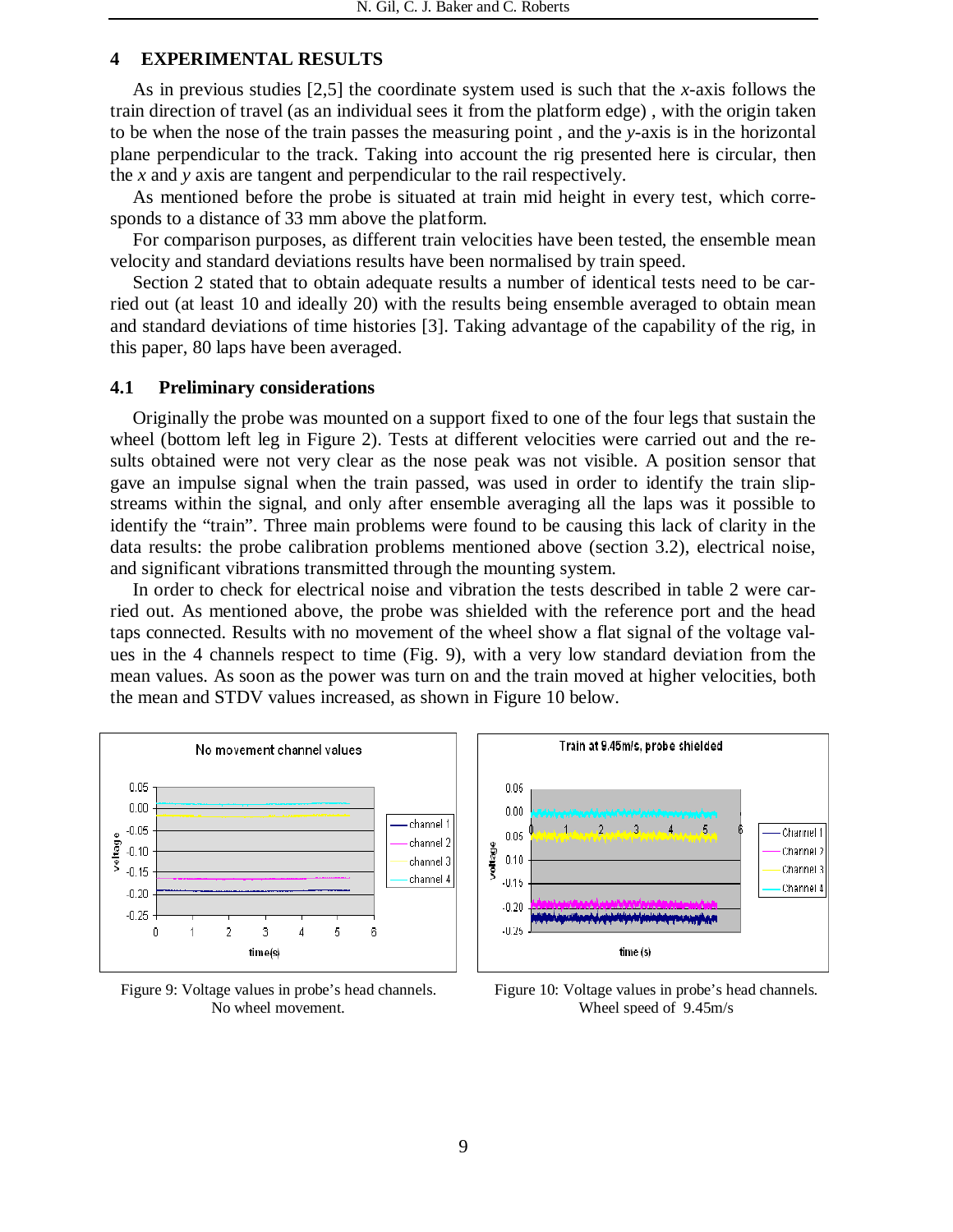### **4 EXPERIMENTAL RESULTS**

As in previous studies [2,5] the coordinate system used is such that the *x*-axis follows the train direction of travel (as an individual sees it from the platform edge) , with the origin taken to be when the nose of the train passes the measuring point , and the *y*-axis is in the horizontal plane perpendicular to the track. Taking into account the rig presented here is circular, then the *x* and *y* axis are tangent and perpendicular to the rail respectively.

As mentioned before the probe is situated at train mid height in every test, which corresponds to a distance of 33 mm above the platform.

For comparison purposes, as different train velocities have been tested, the ensemble mean velocity and standard deviations results have been normalised by train speed.

Section 2 stated that to obtain adequate results a number of identical tests need to be carried out (at least 10 and ideally 20) with the results being ensemble averaged to obtain mean and standard deviations of time histories [3]. Taking advantage of the capability of the rig, in this paper, 80 laps have been averaged.

### **4.1 Preliminary considerations**

Originally the probe was mounted on a support fixed to one of the four legs that sustain the wheel (bottom left leg in Figure 2). Tests at different velocities were carried out and the results obtained were not very clear as the nose peak was not visible. A position sensor that gave an impulse signal when the train passed, was used in order to identify the train slipstreams within the signal, and only after ensemble averaging all the laps was it possible to identify the "train". Three main problems were found to be causing this lack of clarity in the data results: the probe calibration problems mentioned above (section 3.2), electrical noise, and significant vibrations transmitted through the mounting system.

In order to check for electrical noise and vibration the tests described in table 2 were carried out. As mentioned above, the probe was shielded with the reference port and the head taps connected. Results with no movement of the wheel show a flat signal of the voltage values in the 4 channels respect to time (Fig. 9), with a very low standard deviation from the mean values. As soon as the power was turn on and the train moved at higher velocities, both the mean and STDV values increased, as shown in Figure 10 below.



Figure 9: Voltage values in probe's head channels. No wheel movement.



Figure 10: Voltage values in probe's head channels. Wheel speed of 9.45m/s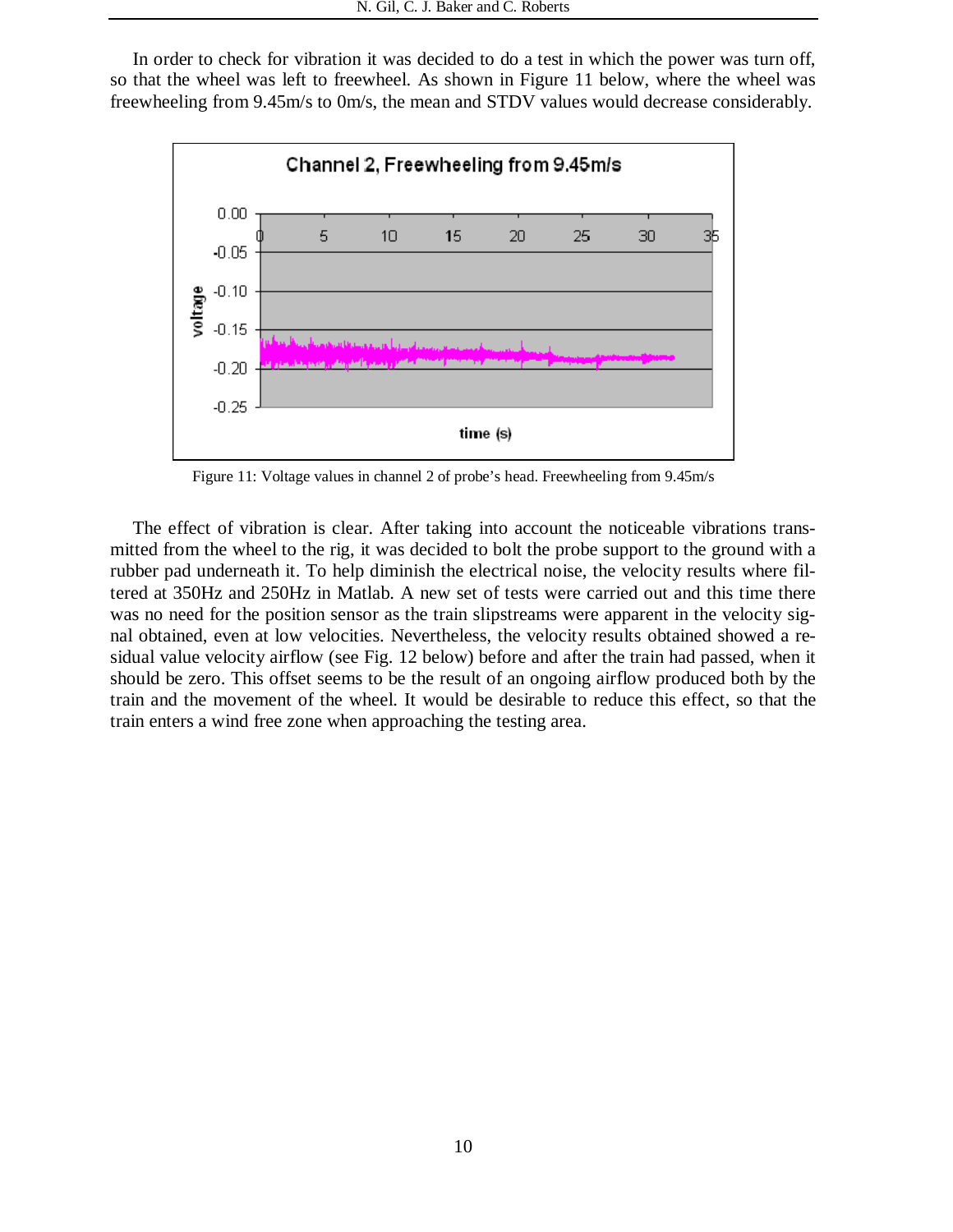In order to check for vibration it was decided to do a test in which the power was turn off, so that the wheel was left to freewheel. As shown in Figure 11 below, where the wheel was freewheeling from 9.45m/s to 0m/s, the mean and STDV values would decrease considerably.



Figure 11: Voltage values in channel 2 of probe's head. Freewheeling from 9.45m/s

The effect of vibration is clear. After taking into account the noticeable vibrations transmitted from the wheel to the rig, it was decided to bolt the probe support to the ground with a rubber pad underneath it. To help diminish the electrical noise, the velocity results where filtered at 350Hz and 250Hz in Matlab. A new set of tests were carried out and this time there was no need for the position sensor as the train slipstreams were apparent in the velocity signal obtained, even at low velocities. Nevertheless, the velocity results obtained showed a residual value velocity airflow (see Fig. 12 below) before and after the train had passed, when it should be zero. This offset seems to be the result of an ongoing airflow produced both by the train and the movement of the wheel. It would be desirable to reduce this effect, so that the train enters a wind free zone when approaching the testing area.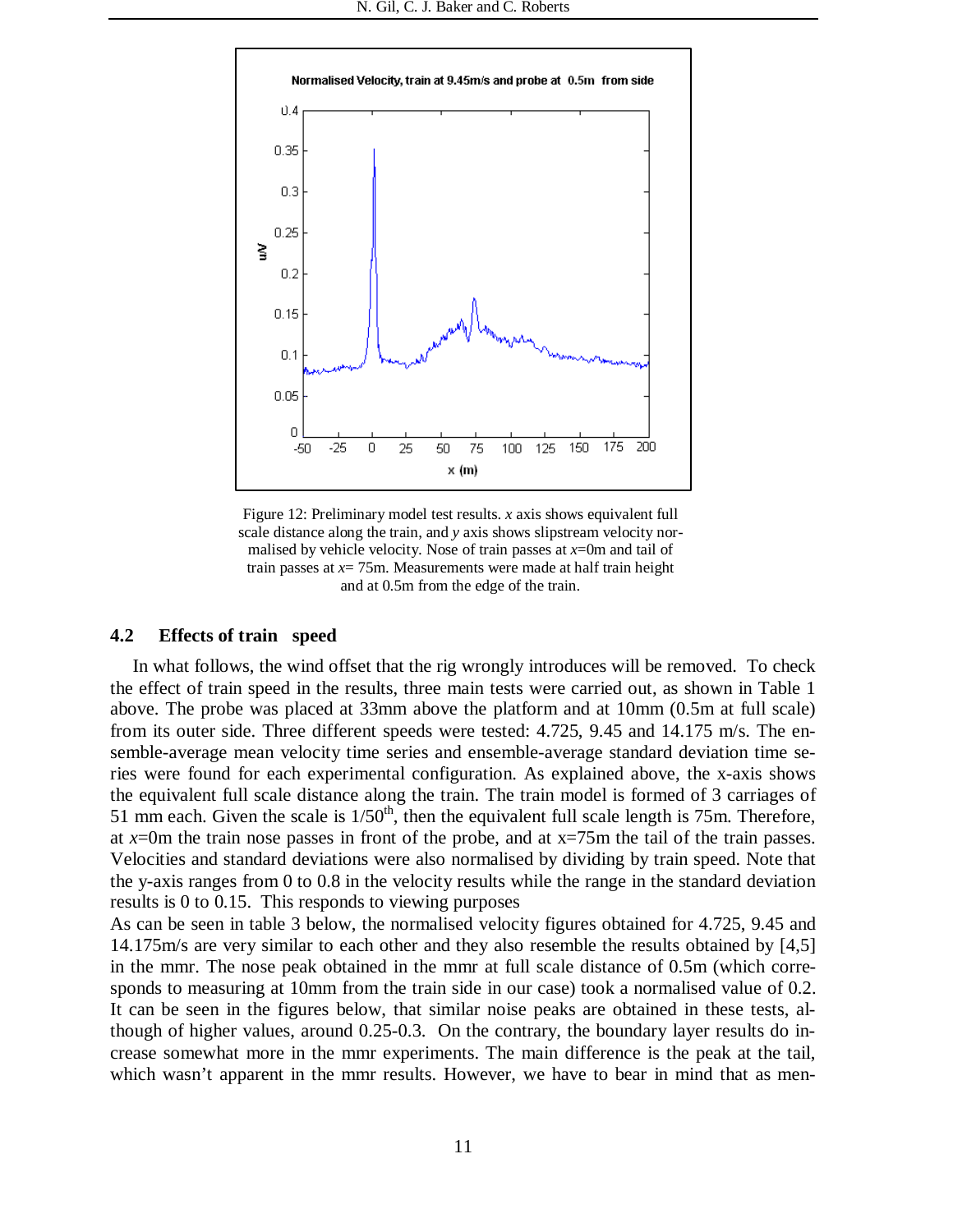

Figure 12: Preliminary model test results. *x* axis shows equivalent full scale distance along the train, and *y* axis shows slipstream velocity normalised by vehicle velocity. Nose of train passes at  $x=0$ m and tail of train passes at *x*= 75m. Measurements were made at half train height and at 0.5m from the edge of the train.

#### **4.2 Effects of train speed**

In what follows, the wind offset that the rig wrongly introduces will be removed. To check the effect of train speed in the results, three main tests were carried out, as shown in Table 1 above. The probe was placed at 33mm above the platform and at 10mm (0.5m at full scale) from its outer side. Three different speeds were tested: 4.725, 9.45 and 14.175 m/s. The ensemble-average mean velocity time series and ensemble-average standard deviation time series were found for each experimental configuration. As explained above, the x-axis shows the equivalent full scale distance along the train. The train model is formed of 3 carriages of 51 mm each. Given the scale is  $1/50<sup>th</sup>$ , then the equivalent full scale length is 75m. Therefore, at  $x=0$ m the train nose passes in front of the probe, and at  $x=75$ m the tail of the train passes. Velocities and standard deviations were also normalised by dividing by train speed. Note that the y-axis ranges from 0 to 0.8 in the velocity results while the range in the standard deviation results is 0 to 0.15. This responds to viewing purposes

As can be seen in table 3 below, the normalised velocity figures obtained for 4.725, 9.45 and 14.175m/s are very similar to each other and they also resemble the results obtained by [4,5] in the mmr. The nose peak obtained in the mmr at full scale distance of 0.5m (which corresponds to measuring at 10mm from the train side in our case) took a normalised value of 0.2. It can be seen in the figures below, that similar noise peaks are obtained in these tests, although of higher values, around 0.25-0.3. On the contrary, the boundary layer results do increase somewhat more in the mmr experiments. The main difference is the peak at the tail, which wasn't apparent in the mmr results. However, we have to bear in mind that as men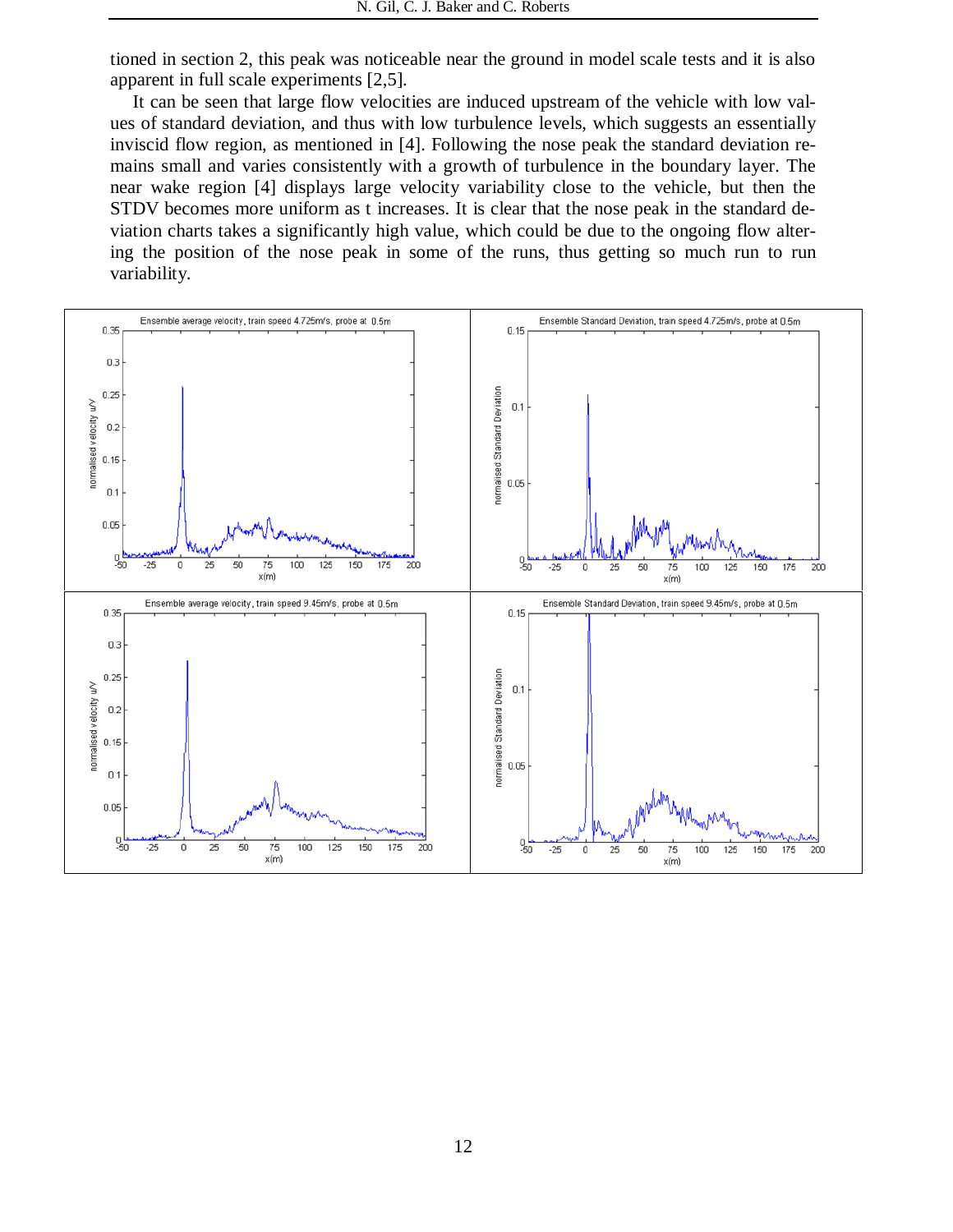tioned in section 2, this peak was noticeable near the ground in model scale tests and it is also apparent in full scale experiments [2,5].

It can be seen that large flow velocities are induced upstream of the vehicle with low values of standard deviation, and thus with low turbulence levels, which suggests an essentially inviscid flow region, as mentioned in [4]. Following the nose peak the standard deviation remains small and varies consistently with a growth of turbulence in the boundary layer. The near wake region [4] displays large velocity variability close to the vehicle, but then the STDV becomes more uniform as t increases. It is clear that the nose peak in the standard deviation charts takes a significantly high value, which could be due to the ongoing flow altering the position of the nose peak in some of the runs, thus getting so much run to run variability.

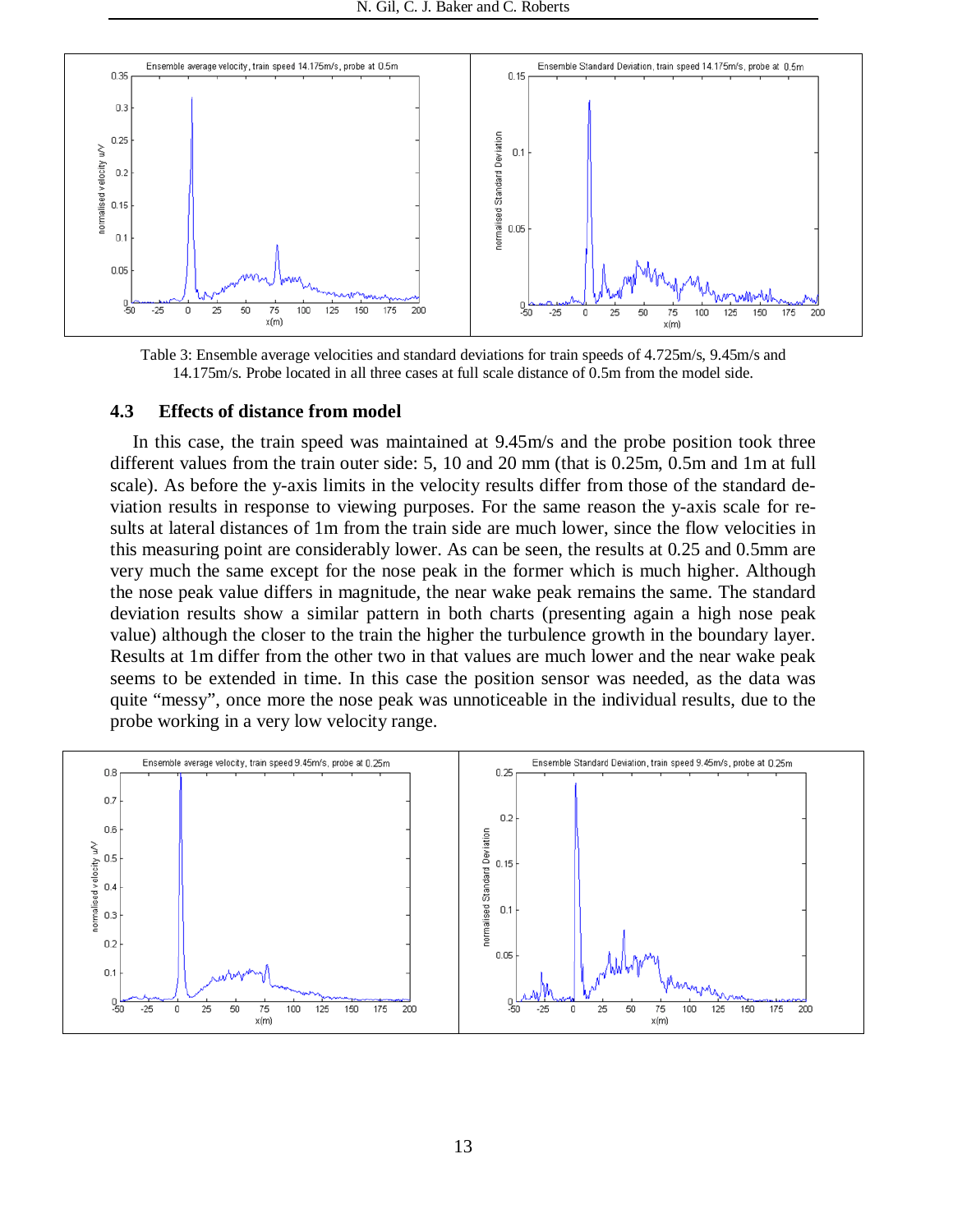

Table 3: Ensemble average velocities and standard deviations for train speeds of 4.725m/s, 9.45m/s and 14.175m/s. Probe located in all three cases at full scale distance of 0.5m from the model side.

#### **4.3 Effects of distance from model**

In this case, the train speed was maintained at 9.45m/s and the probe position took three different values from the train outer side: 5, 10 and 20 mm (that is 0.25m, 0.5m and 1m at full scale). As before the y-axis limits in the velocity results differ from those of the standard deviation results in response to viewing purposes. For the same reason the y-axis scale for results at lateral distances of 1m from the train side are much lower, since the flow velocities in this measuring point are considerably lower. As can be seen, the results at 0.25 and 0.5mm are very much the same except for the nose peak in the former which is much higher. Although the nose peak value differs in magnitude, the near wake peak remains the same. The standard deviation results show a similar pattern in both charts (presenting again a high nose peak value) although the closer to the train the higher the turbulence growth in the boundary layer. Results at 1m differ from the other two in that values are much lower and the near wake peak seems to be extended in time. In this case the position sensor was needed, as the data was quite "messy", once more the nose peak was unnoticeable in the individual results, due to the probe working in a very low velocity range.

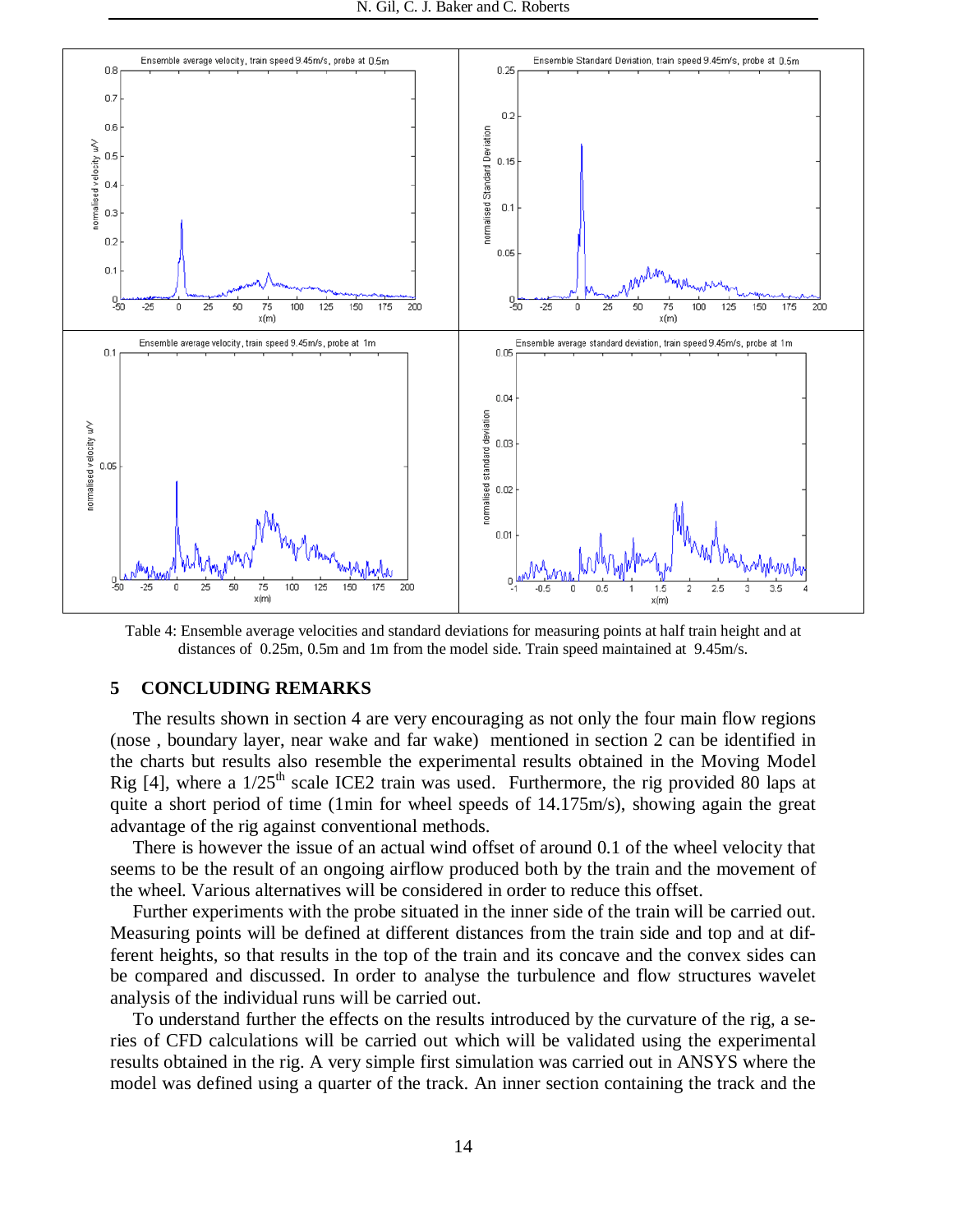

Table 4: Ensemble average velocities and standard deviations for measuring points at half train height and at distances of 0.25m, 0.5m and 1m from the model side. Train speed maintained at 9.45m/s.

### **5 CONCLUDING REMARKS**

The results shown in section 4 are very encouraging as not only the four main flow regions (nose , boundary layer, near wake and far wake) mentioned in section 2 can be identified in the charts but results also resemble the experimental results obtained in the Moving Model Rig [4], where a  $1/25<sup>th</sup>$  scale ICE2 train was used. Furthermore, the rig provided 80 laps at quite a short period of time (1min for wheel speeds of 14.175m/s), showing again the great advantage of the rig against conventional methods.

There is however the issue of an actual wind offset of around 0.1 of the wheel velocity that seems to be the result of an ongoing airflow produced both by the train and the movement of the wheel. Various alternatives will be considered in order to reduce this offset.

Further experiments with the probe situated in the inner side of the train will be carried out. Measuring points will be defined at different distances from the train side and top and at different heights, so that results in the top of the train and its concave and the convex sides can be compared and discussed. In order to analyse the turbulence and flow structures wavelet analysis of the individual runs will be carried out.

To understand further the effects on the results introduced by the curvature of the rig, a series of CFD calculations will be carried out which will be validated using the experimental results obtained in the rig. A very simple first simulation was carried out in ANSYS where the model was defined using a quarter of the track. An inner section containing the track and the